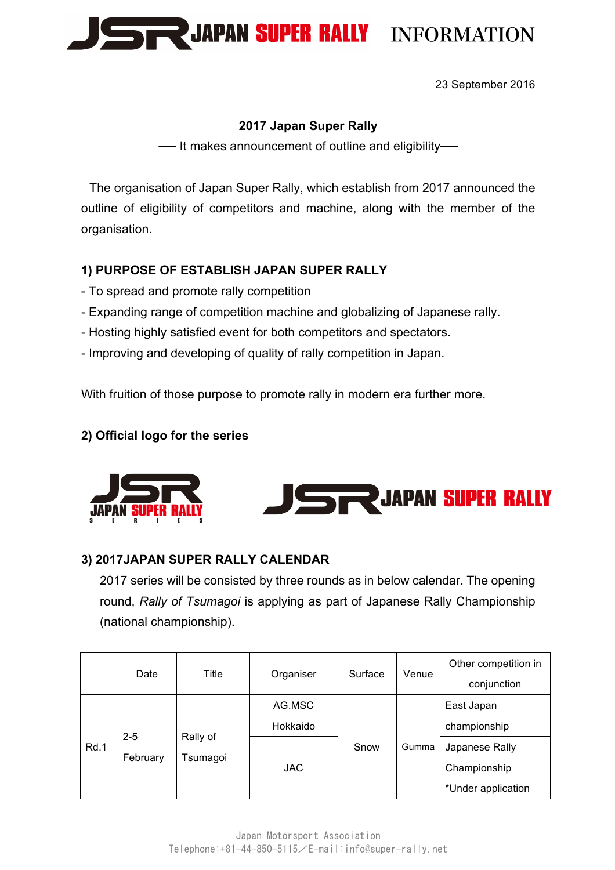

23 September 2016

### **2017 Japan Super Rally**

-- It makes announcement of outline and eligibility-

The organisation of Japan Super Rally, which establish from 2017 announced the outline of eligibility of competitors and machine, along with the member of the organisation.

# **1) PURPOSE OF ESTABLISH JAPAN SUPER RALLY**

- To spread and promote rally competition
- Expanding range of competition machine and globalizing of Japanese rally.
- Hosting highly satisfied event for both competitors and spectators. **1**
- Improving and developing of quality of rally competition in Japan.

With fruition of those purpose to promote rally in modern era further more.

### **2) Official logo for the series**





# **3) 2017JAPAN SUPER RALLY CALENDAR**

2017 series will be consisted by three rounds as in below calendar. The opening round, *Rally of Tsumagoi* is applying as part of Japanese Rally Championship (national championship).

|  |      | Date                | Title                | Organiser | Surface | Venue | Other competition in |
|--|------|---------------------|----------------------|-----------|---------|-------|----------------------|
|  |      |                     |                      |           |         |       | conjunction          |
|  |      |                     | Rally of<br>Tsumagoi | AG.MSC    |         | Gumma | East Japan           |
|  | Rd.1 | $2 - 5$<br>February |                      | Hokkaido  |         |       | championship         |
|  |      |                     |                      |           | Snow    |       | Japanese Rally       |
|  |      |                     |                      | JAC.      |         |       | Championship         |
|  |      |                     |                      |           |         |       | *Under application   |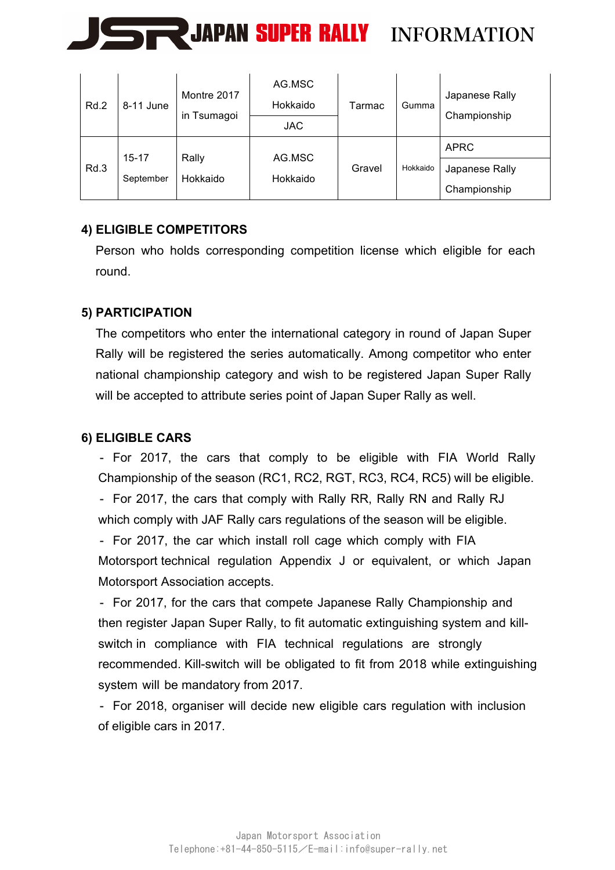

| Rd.2 | 8-11 June                                               | Montre 2017<br>in Tsumagoi | AG.MSC<br>Hokkaido | Tarmac   | Gumma          | Japanese Rally |
|------|---------------------------------------------------------|----------------------------|--------------------|----------|----------------|----------------|
|      |                                                         |                            | <b>JAC</b>         |          |                | Championship   |
| Rd.3 | $15 - 17$<br>Rally<br>Hokkaido<br>Hokkaido<br>September |                            | AG.MSC             |          |                | <b>APRC</b>    |
|      |                                                         |                            | Gravel             | Hokkaido | Japanese Rally |                |
|      |                                                         |                            |                    |          |                | Championship   |

# **4) ELIGIBLE COMPETITORS**

Person who holds corresponding competition license which eligible for each round.

# **5) PARTICIPATION**

The competitors who enter the international category in round of Japan Super Rally will be registered the series automatically. Among competitor who enter national championship category and wish to be registered Japan Super Rally will be accepted to attribute series point of Japan Super Rally as well.

# **6) ELIGIBLE CARS**

- For 2017, the cars that comply to be eligible with FIA World Rally Championship of the season (RC1, RC2, RGT, RC3, RC4, RC5) will be eligible. - For 2017, the cars that comply with Rally RR, Rally RN and Rally RJ which comply with JAF Rally cars regulations of the season will be eligible.

- For 2017, the car which install roll cage which comply with FIA Motorsport technical regulation Appendix J or equivalent, or which Japan Motorsport Association accepts.

- For 2017, for the cars that compete Japanese Rally Championship and then register Japan Super Rally, to fit automatic extinguishing system and killswitch in compliance with FIA technical regulations are strongly recommended. Kill-switch will be obligated to fit from 2018 while extinguishing system will be mandatory from 2017.

- For 2018, organiser will decide new eligible cars regulation with inclusion of eligible cars in 2017.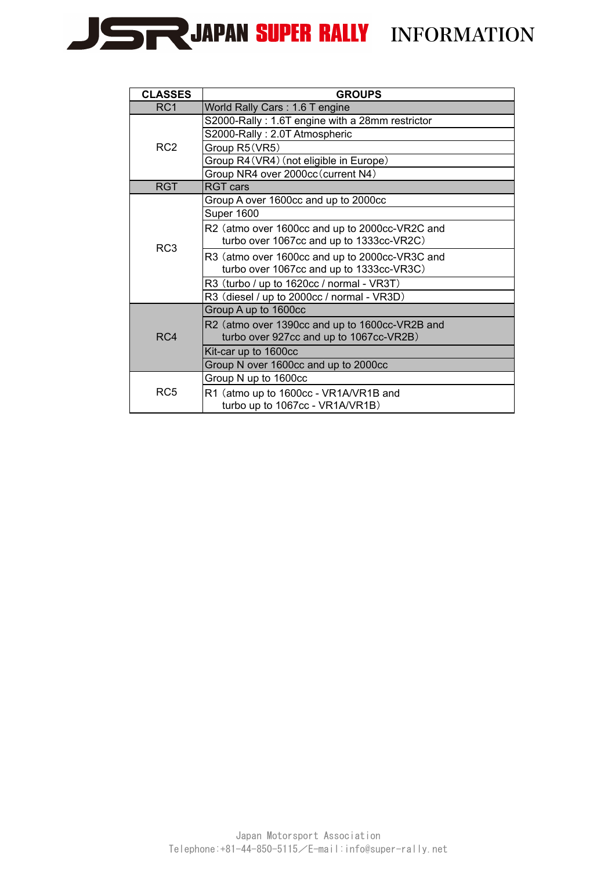

| <b>CLASSES</b>   | <b>GROUPS</b>                                   |
|------------------|-------------------------------------------------|
| RC1              | World Rally Cars: 1.6 T engine                  |
|                  | S2000-Rally: 1.6T engine with a 28mm restrictor |
|                  | S2000-Rally: 2.0T Atmospheric                   |
| RC <sub>2</sub>  | Group R5 (VR5)                                  |
|                  | Group R4 (VR4) (not eligible in Europe)         |
|                  | Group NR4 over 2000cc (current N4)              |
| <b>RGT</b>       | <b>RGT cars</b>                                 |
|                  | Group A over 1600cc and up to 2000cc            |
|                  | Super 1600                                      |
|                  | R2 (atmo over 1600cc and up to 2000cc-VR2C and  |
| RC <sub>3</sub>  | turbo over 1067cc and up to 1333cc-VR2C)        |
|                  | R3 (atmo over 1600cc and up to 2000cc-VR3C and  |
|                  | turbo over 1067cc and up to 1333cc-VR3C)        |
|                  | R3 (turbo / up to 1620cc / normal - VR3T)       |
|                  | R3 (diesel / up to 2000cc / normal - VR3D)      |
|                  | Group A up to 1600cc                            |
|                  | R2 (atmo over 1390cc and up to 1600cc-VR2B and  |
| R <sub>C</sub> 4 | turbo over 927cc and up to 1067cc-VR2B)         |
|                  | Kit-car up to 1600cc                            |
|                  | Group N over 1600cc and up to 2000cc            |
|                  | Group N up to 1600cc                            |
| RC <sub>5</sub>  | R1 (atmo up to 1600cc - VR1A/VR1B and           |
|                  | turbo up to 1067cc - VR1A/VR1B)                 |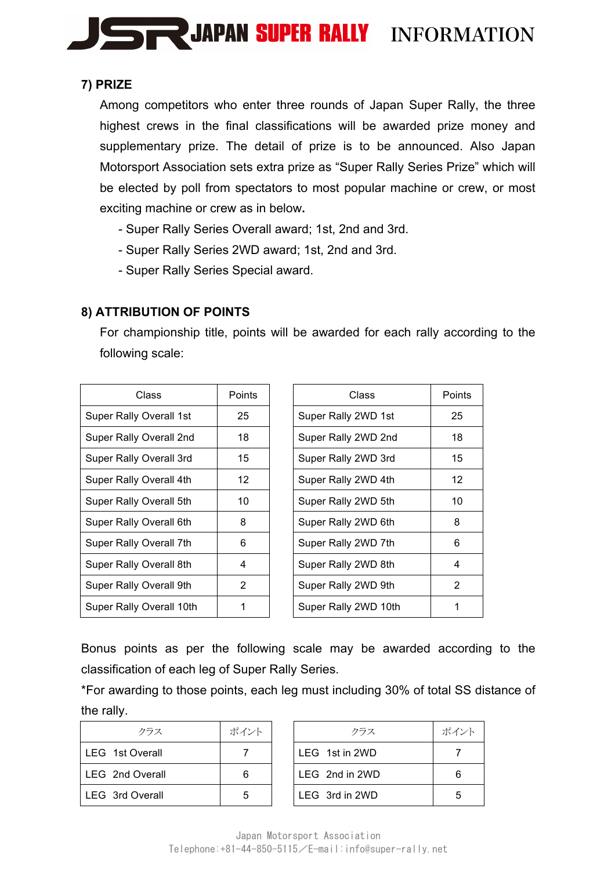

### **7) PRIZE**

Among competitors who enter three rounds of Japan Super Rally, the three highest crews in the final classifications will be awarded prize money and supplementary prize. The detail of prize is to be announced. Also Japan Motorsport Association sets extra prize as "Super Rally Series Prize" which will be elected by poll from spectators to most popular machine or crew, or most exciting machine or crew as in below**.**

- Super Rally Series Overall award; 1st, 2nd and 3rd.
- Super Rally Series 2WD award; 1st, 2nd and 3rd.
- Super Rally Series Special award.

### **8) ATTRIBUTION OF POINTS**

For championship title, points will be awarded for each rally according to the following scale:

| Class                    | Points | Class                | Poin |
|--------------------------|--------|----------------------|------|
| Super Rally Overall 1st  | 25     | Super Rally 2WD 1st  | 25   |
| Super Rally Overall 2nd  | 18     | Super Rally 2WD 2nd  | 18   |
| Super Rally Overall 3rd  | 15     | Super Rally 2WD 3rd  | 15   |
| Super Rally Overall 4th  | 12     | Super Rally 2WD 4th  | 12   |
| Super Rally Overall 5th  | 10     | Super Rally 2WD 5th  | 10   |
| Super Rally Overall 6th  | 8      | Super Rally 2WD 6th  | 8    |
| Super Rally Overall 7th  | 6      | Super Rally 2WD 7th  | 6    |
| Super Rally Overall 8th  | 4      | Super Rally 2WD 8th  | 4    |
| Super Rally Overall 9th  | 2      | Super Rally 2WD 9th  | 2    |
| Super Rally Overall 10th |        | Super Rally 2WD 10th |      |

| Class          | <b>Points</b>   | Class                | <b>Points</b> |
|----------------|-----------------|----------------------|---------------|
| y Overall 1st  | 25              | Super Rally 2WD 1st  | 25            |
| √ Overall 2nd  | 18              | Super Rally 2WD 2nd  | 18            |
| Overall 3rd    | 15              | Super Rally 2WD 3rd  | 15            |
| y Overall 4th  | 12 <sup>2</sup> | Super Rally 2WD 4th  | 12            |
| V Overall 5th  | 10              | Super Rally 2WD 5th  | 10            |
| ∧ Overall 6th  | 8               | Super Rally 2WD 6th  | 8             |
| √ Overall 7th  | 6               | Super Rally 2WD 7th  | 6             |
| y Overall 8th  | 4               | Super Rally 2WD 8th  | 4             |
| y Overall 9th  | 2               | Super Rally 2WD 9th  | 2             |
| √ Overall 10th |                 | Super Rally 2WD 10th |               |

Bonus points as per the following scale may be awarded according to the classification of each leg of Super Rally Series.

\*For awarding to those points, each leg must including 30% of total SS distance of the rally.

| クラス             | ポイント | クラス            | ポイ |
|-----------------|------|----------------|----|
| LEG 1st Overall |      | LEG 1st in 2WD |    |
| LEG 2nd Overall | 6    | LEG 2nd in 2WD | 6  |
| LEG 3rd Overall | 5    | LEG 3rd in 2WD | 5  |

| クラス     | ポイント | クラス            | ポイント |
|---------|------|----------------|------|
| verall  |      | LEG 1st in 2WD |      |
| )verall | 6    | LEG 2nd in 2WD |      |
| verall  | 5    | LEG 3rd in 2WD | 5    |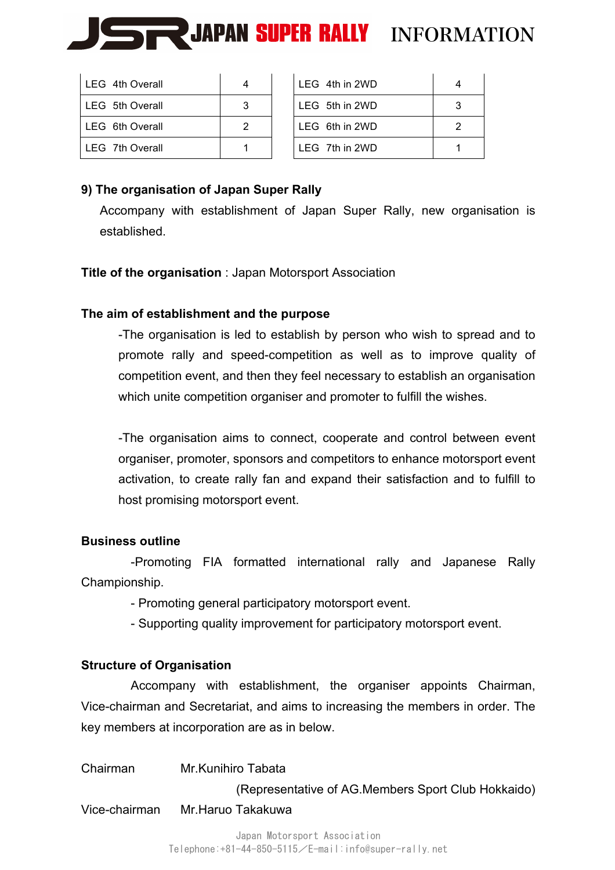

| LEG 4th Overall | 4 | LEG 4th in 2WD   |   |
|-----------------|---|------------------|---|
| LEG 5th Overall | 3 | LEG 5th in 2WD   | З |
| LEG 6th Overall | 2 | LEG 6th in 2WD   | っ |
| LEG 7th Overall |   | $LEG$ 7th in 2WD |   |

| l LEG 4th in 2WD |   |
|------------------|---|
| LEG 5th in 2WD   |   |
| LEG 6th in 2WD   | 2 |
| $LEG$ 7th in 2WD |   |

## **9) The organisation of Japan Super Rally**

Accompany with establishment of Japan Super Rally, new organisation is established.

#### **Title of the organisation** : Japan Motorsport Association

#### **The aim of establishment and the purpose**

-The organisation is led to establish by person who wish to spread and to promote rally and speed-competition as well as to improve quality of competition event, and then they feel necessary to establish an organisation which unite competition organiser and promoter to fulfill the wishes.

-The organisation aims to connect, cooperate and control between event organiser, promoter, sponsors and competitors to enhance motorsport event activation, to create rally fan and expand their satisfaction and to fulfill to host promising motorsport event.

#### **Business outline**

-Promoting FIA formatted international rally and Japanese Rally Championship.

- Promoting general participatory motorsport event.

- Supporting quality improvement for participatory motorsport event.

#### **Structure of Organisation**

Accompany with establishment, the organiser appoints Chairman, Vice-chairman and Secretariat, and aims to increasing the members in order. The key members at incorporation are as in below.

| Chairman      | Mr.Kunihiro Tabata                                 |
|---------------|----------------------------------------------------|
|               | (Representative of AG.Members Sport Club Hokkaido) |
| Vice-chairman | Mr.Haruo Takakuwa                                  |